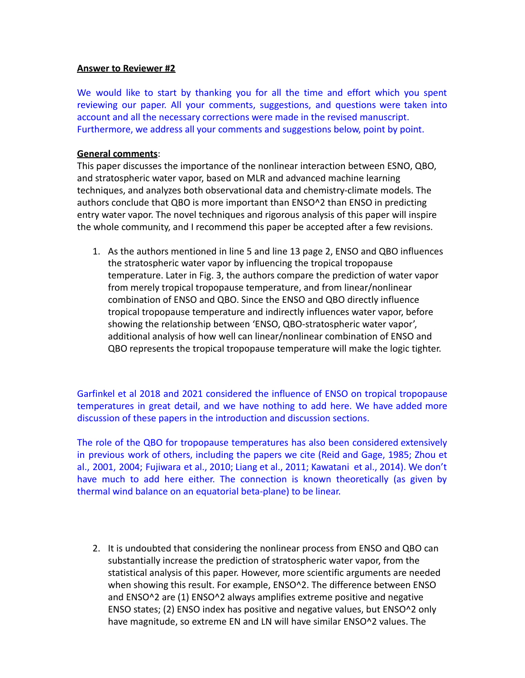# **Answer to Reviewer #2**

We would like to start by thanking you for all the time and effort which you spent reviewing our paper. All your comments, suggestions, and questions were taken into account and all the necessary corrections were made in the revised manuscript. Furthermore, we address all your comments and suggestions below, point by point.

### **General comments**:

This paper discusses the importance of the nonlinear interaction between ESNO, QBO, and stratospheric water vapor, based on MLR and advanced machine learning techniques, and analyzes both observational data and chemistry-climate models. The authors conclude that QBO is more important than ENSO^2 than ENSO in predicting entry water vapor. The novel techniques and rigorous analysis of this paper will inspire the whole community, and I recommend this paper be accepted after a few revisions.

1. As the authors mentioned in line 5 and line 13 page 2, ENSO and QBO influences the stratospheric water vapor by influencing the tropical tropopause temperature. Later in Fig. 3, the authors compare the prediction of water vapor from merely tropical tropopause temperature, and from linear/nonlinear combination of ENSO and QBO. Since the ENSO and QBO directly influence tropical tropopause temperature and indirectly influences water vapor, before showing the relationship between 'ENSO, QBO-stratospheric water vapor', additional analysis of how well can linear/nonlinear combination of ENSO and QBO represents the tropical tropopause temperature will make the logic tighter.

Garfinkel et al 2018 and 2021 considered the influence of ENSO on tropical tropopause temperatures in great detail, and we have nothing to add here. We have added more discussion of these papers in the introduction and discussion sections.

The role of the QBO for tropopause temperatures has also been considered extensively in previous work of others, including the papers we cite (Reid and Gage, 1985; Zhou et al., 2001, 2004; Fujiwara et al., 2010; Liang et al., 2011; Kawatani et al., 2014). We don't have much to add here either. The connection is known theoretically (as given by thermal wind balance on an equatorial beta-plane) to be linear.

2. It is undoubted that considering the nonlinear process from ENSO and QBO can substantially increase the prediction of stratospheric water vapor, from the statistical analysis of this paper. However, more scientific arguments are needed when showing this result. For example, ENSO^2. The difference between ENSO and ENSO^2 are (1) ENSO^2 always amplifies extreme positive and negative ENSO states; (2) ENSO index has positive and negative values, but ENSO^2 only have magnitude, so extreme EN and LN will have similar ENSO^2 values. The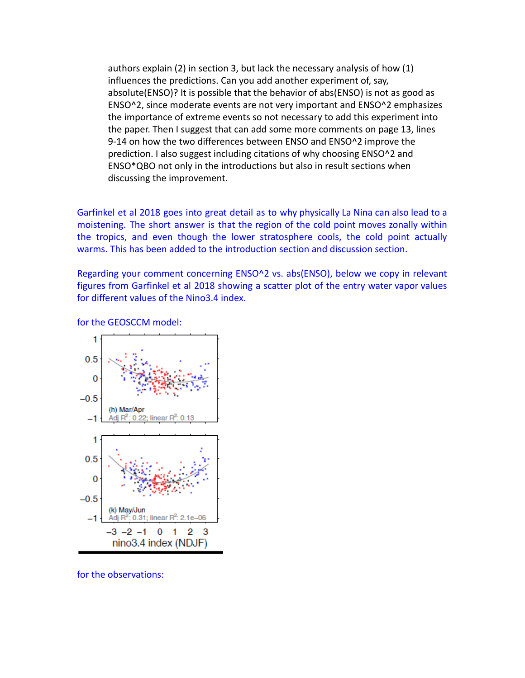authors explain (2) in section 3, but lack the necessary analysis of how (1) influences the predictions. Can you add another experiment of, say, absolute(ENSO)? It is possible that the behavior of abs(ENSO) is not as good as ENSO^2, since moderate events are not very important and ENSO^2 emphasizes the importance of extreme events so not necessary to add this experiment into the paper. Then I suggest that can add some more comments on page 13, lines 9-14 on how the two differences between ENSO and ENSO^2 improve the prediction. I also suggest including citations of why choosing ENSO^2 and ENSO\*QBO not only in the introductions but also in result sections when discussing the improvement.

Garfinkel et al 2018 goes into great detail as to why physically La Nina can also lead to a moistening. The short answer is that the region of the cold point moves zonally within the tropics, and even though the lower stratosphere cools, the cold point actually warms. This has been added to the introduction section and discussion section.

Regarding your comment concerning ENSO^2 vs. abs(ENSO), below we copy in relevant figures from Garfinkel et al 2018 showing a scatter plot of the entry water vapor values for different values of the Nino3.4 index.

for the GEOSCCM model:



for the observations: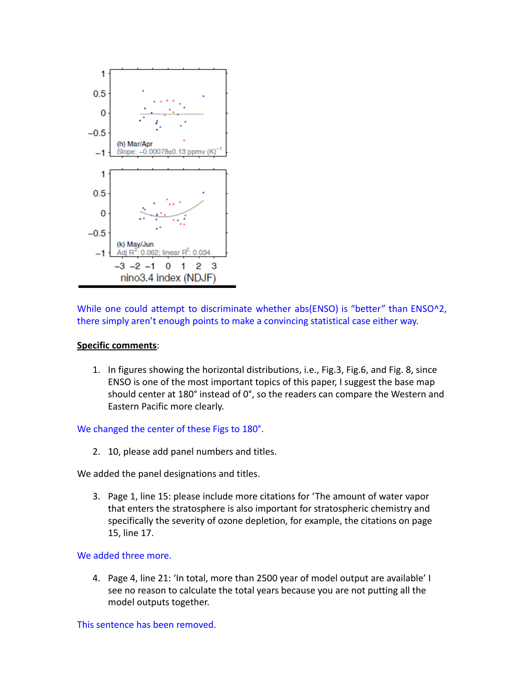

While one could attempt to discriminate whether abs(ENSO) is "better" than ENSO^2, there simply aren't enough points to make a convincing statistical case either way.

# **Specific comments**:

1. In figures showing the horizontal distributions, i.e., Fig.3, Fig.6, and Fig. 8, since ENSO is one of the most important topics of this paper, I suggest the base map should center at 180° instead of 0°, so the readers can compare the Western and Eastern Pacific more clearly.

# We changed the center of these Figs to 180°.

2. 10, please add panel numbers and titles.

We added the panel designations and titles.

3. Page 1, line 15: please include more citations for 'The amount of water vapor that enters the stratosphere is also important for stratospheric chemistry and specifically the severity of ozone depletion, for example, the citations on page 15, line 17.

#### We added three more.

4. Page 4, line 21: 'In total, more than 2500 year of model output are available' I see no reason to calculate the total years because you are not putting all the model outputs together.

This sentence has been removed.